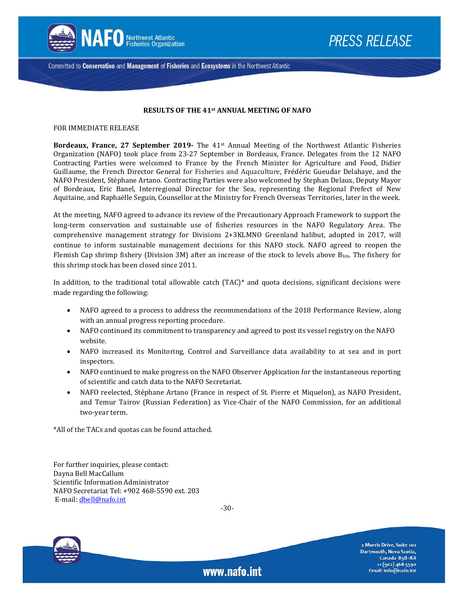

Committed to Conservation and Management of Fisheries and Ecosystems in the Northwest Atlantic

### **RESULTS OF THE 41st ANNUAL MEETING OF NAFO**

FOR IMMEDIATE RELEASE

**Bordeaux, France, 27 September 2019-** The 41st Annual Meeting of the Northwest Atlantic Fisheries Organization (NAFO) took place from 23-27 September in Bordeaux, France. Delegates from the 12 NAFO Contracting Parties were welcomed to France by the French Minister for Agriculture and Food, Didier Guillaume, the French Director General for Fisheries and Aquaculture, Frédéric Gueudar Delahaye, and the NAFO President, Stéphane Artano. Contracting Parties were also welcomed by Stephan Delaux, Deputy Mayor of Bordeaux, Eric Banel, Interregional Director for the Sea, representing the Regional Prefect of New Aquitaine, and Raphaëlle Seguin, Counsellor at the Ministry for French Overseas Territories, later in the week.

At the meeting, NAFO agreed to advance its review of the Precautionary Approach Framework to support the long-term conservation and sustainable use of fisheries resources in the NAFO Regulatory Area. The comprehensive management strategy for Divisions 2+3KLMNO Greenland halibut, adopted in 2017, will continue to inform sustainable management decisions for this NAFO stock. NAFO agreed to reopen the Flemish Cap shrimp fishery (Division 3M) after an increase of the stock to levels above Blim. The fishery for this shrimp stock has been closed since 2011.

In addition, to the traditional total allowable catch (TAC)\* and quota decisions, significant decisions were made regarding the following:

- NAFO agreed to a process to address the recommendations of the 2018 Performance Review, along with an annual progress reporting procedure.
- NAFO continued its commitment to transparency and agreed to post its vessel registry on the NAFO website.
- NAFO increased its Monitoring, Control and Surveillance data availability to at sea and in port inspectors.
- NAFO continued to make progress on the NAFO Observer Application for the instantaneous reporting of scientific and catch data to the NAFO Secretariat.
- NAFO reelected, Stéphane Artano (France in respect of St. Pierre et Miquelon), as NAFO President, and Temur Tairov (Russian Federation) as Vice-Chair of the NAFO Commission, for an additional two-year term.

\*All of the TACs and quotas can be found attached.

For further inquiries, please contact: Dayna Bell MacCallum Scientific Information Administrator NAFO Secretariat Tel: +902 468-5590 ext. 203 E-mail: [dbell@nafo.int](mailto:dbell@nafo.int)

-30-

www.nafo.int



2 Morris Drive, Suite 100 Dartmouth, Nova Scotia, Canada B3B 1K8 +1 (902) 468-5590 Email: info@nafo.int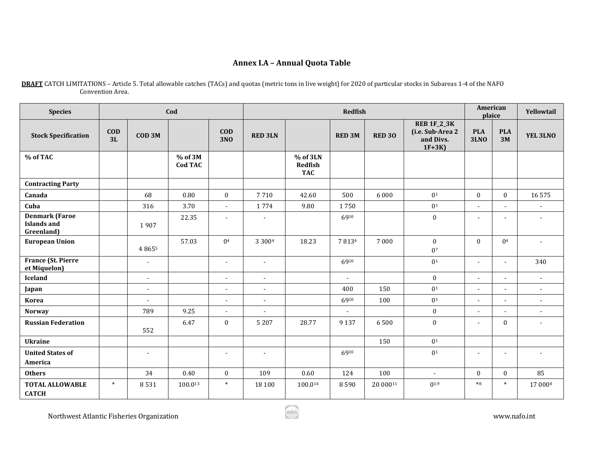# **Annex I.A – Annual Quota Table**

| <b>Species</b>                                            | Cod              |                   |                             |                          | <b>Redfish</b> |                                   |               |               |                                                                |                           | <b>American</b><br>plaice | Yellowtail               |
|-----------------------------------------------------------|------------------|-------------------|-----------------------------|--------------------------|----------------|-----------------------------------|---------------|---------------|----------------------------------------------------------------|---------------------------|---------------------------|--------------------------|
| <b>Stock Specification</b>                                | <b>COD</b><br>3L | COD <sub>3M</sub> |                             | $\bf{COD}$<br><b>3NO</b> | <b>RED 3LN</b> |                                   | <b>RED 3M</b> | <b>RED 30</b> | <b>REB 1F_2_3K</b><br>(i.e. Sub-Area 2<br>and Divs.<br>$1F+3K$ | <b>PLA</b><br><b>3LNO</b> | <b>PLA</b><br>3M          | YEL 3LNO                 |
| % of TAC                                                  |                  |                   | $%$ of 3M<br><b>Cod TAC</b> |                          |                | % of 3LN<br>Redfish<br><b>TAC</b> |               |               |                                                                |                           |                           |                          |
| <b>Contracting Party</b>                                  |                  |                   |                             |                          |                |                                   |               |               |                                                                |                           |                           |                          |
| Canada                                                    |                  | 68                | 0.80                        | $\bf{0}$                 | 7710           | 42.60                             | 500           | 6 0 0 0       | 0 <sup>1</sup>                                                 | $\mathbf{0}$              | $\mathbf{0}$              | 16575                    |
| Cuba                                                      |                  | 316               | 3.70                        | $\blacksquare$           | 1774           | 9.80                              | 1750          |               | 0 <sup>1</sup>                                                 | $\sim$                    | $\overline{a}$            | $\overline{\phantom{a}}$ |
| <b>Denmark (Faroe</b><br><b>Islands and</b><br>Greenland) |                  | 1907              | 22.35                       | $\blacksquare$           | $\blacksquare$ |                                   | 6910          |               | $\boldsymbol{0}$                                               | $\blacksquare$            | $\blacksquare$            |                          |
| <b>European Union</b>                                     |                  | 4 8 6 5 5         | 57.03                       | 0 <sup>4</sup>           | 3 3 0 0 4      | 18.23                             | 7 8 1 3 4     | 7 0 0 0       | $\mathbf{0}$<br>0 <sup>7</sup>                                 | $\mathbf{0}$              | 0 <sup>4</sup>            |                          |
| <b>France (St. Pierre</b><br>et Miquelon)                 |                  | $\blacksquare$    |                             | $\blacksquare$           | $\sim$         |                                   | 6910          |               | 0 <sup>1</sup>                                                 | $\sim$                    | $\sim$                    | 340                      |
| <b>Iceland</b>                                            |                  | $\blacksquare$    |                             | $\blacksquare$           | $\sim$         |                                   | $\omega$      |               | $\mathbf{0}$                                                   | $\sim$                    | $\blacksquare$            | $\sim$                   |
| Japan                                                     |                  | $\sim$            |                             | $\sim$                   | $\sim$         |                                   | 400           | 150           | 0 <sup>1</sup>                                                 | $\sim$                    | $\sim$                    | $\sim$                   |
| <b>Korea</b>                                              |                  | $\blacksquare$    |                             | $\blacksquare$           | $\blacksquare$ |                                   | 6910          | 100           | 0 <sup>1</sup>                                                 | $\sim$                    |                           | $\blacksquare$           |
| <b>Norway</b>                                             |                  | 789               | 9.25                        | $\sim$                   |                |                                   |               |               | $\mathbf{0}$                                                   |                           |                           | $\sim$                   |
| <b>Russian Federation</b>                                 |                  | 552               | 6.47                        | $\bf{0}$                 | 5 2 0 7        | 28.77                             | 9 1 3 7       | 6500          | $\boldsymbol{0}$                                               | $\overline{\phantom{a}}$  | $\mathbf{0}$              | $\blacksquare$           |
| <b>Ukraine</b>                                            |                  |                   |                             |                          |                |                                   |               | 150           | 0 <sup>1</sup>                                                 |                           |                           |                          |
| <b>United States of</b><br>America                        |                  | $\sim$            |                             | $\sim$                   | $\sim$         |                                   | 6910          |               | $\mathbf{0}^1$                                                 | ÷.                        | $\sim$                    | $\overline{\phantom{a}}$ |
| <b>Others</b>                                             |                  | 34                | 0.40                        | $\bf{0}$                 | 109            | 0.60                              | 124           | 100           | $\omega$                                                       | $\mathbf{0}$              | $\mathbf{0}$              | 85                       |
| <b>TOTAL ALLOWABLE</b><br><b>CATCH</b>                    | $\ast$           | 8531              | 100.013                     | $\ast$                   | 18 100         | 100.014                           | 8590          | 20 00011      | $0^{3,9}$                                                      | $*8$                      | $\ast$                    | 17 0008                  |

**DRAFT** CATCH LIMITATIONS – Article 5. Total allowable catches (TACs) and quotas (metric tons in live weight) for 2020 of particular stocks in Subareas 1-4 of the NAFO Convention Area.

Northwest Atlantic Fisheries Organization www.nafo.int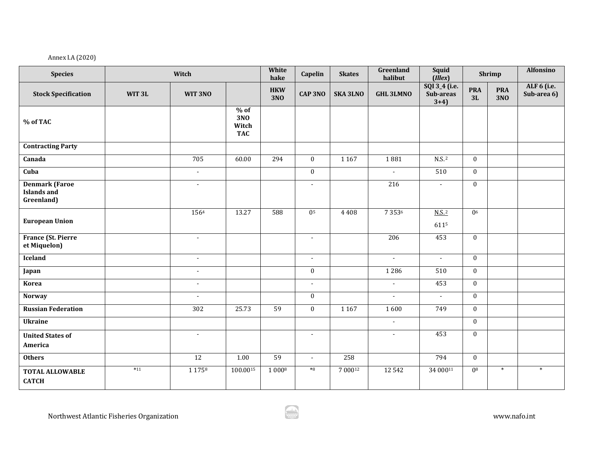## Annex I.A (2020)

| <b>Species</b>                                            |                   | White<br>hake            | Capelin                              | <b>Skates</b>            | Greenland<br>halibut        | <b>Squid</b><br>(Illex) |                       | Shrimp                               | <b>Alfonsino</b> |                   |                            |
|-----------------------------------------------------------|-------------------|--------------------------|--------------------------------------|--------------------------|-----------------------------|-------------------------|-----------------------|--------------------------------------|------------------|-------------------|----------------------------|
| <b>Stock Specification</b>                                | WIT <sub>3L</sub> | WIT 3NO                  |                                      | <b>HKW</b><br><b>3NO</b> | <b>CAP 3NO</b>              | <b>SKA 3LNO</b>         | <b>GHL 3LMNO</b>      | SQI 3_4 (i.e.<br>Sub-areas<br>$3+4)$ | <b>PRA</b><br>3L | <b>PRA</b><br>3NO | ALF 6 (i.e.<br>Sub-area 6) |
| % of TAC                                                  |                   |                          | $%$ of<br>3NO<br>Witch<br><b>TAC</b> |                          |                             |                         |                       |                                      |                  |                   |                            |
| <b>Contracting Party</b>                                  |                   |                          |                                      |                          |                             |                         |                       |                                      |                  |                   |                            |
| Canada                                                    |                   | 705                      | 60.00                                | 294                      | $\mathbf{0}$                | 1 1 6 7                 | 1881                  | $N.S.$ <sup>2</sup>                  | $\mathbf{0}$     |                   |                            |
| Cuba                                                      |                   | $\overline{\phantom{a}}$ |                                      |                          | $\mathbf{0}$                |                         | $\omega$              | 510                                  | $\bf{0}$         |                   |                            |
| <b>Denmark</b> (Faroe<br><b>Islands and</b><br>Greenland) |                   | $\blacksquare$           |                                      |                          | $\blacksquare$              |                         | 216                   | $\sim$                               | $\mathbf{0}$     |                   |                            |
| <b>European Union</b>                                     |                   | 1564                     | 13.27                                | 588                      | 0 <sup>5</sup>              | 4408                    | 7 3 5 3 6             | $N.S.$ <sup>2</sup><br>6115          | 0 <sup>6</sup>   |                   |                            |
| <b>France (St. Pierre</b><br>et Miquelon)                 |                   | $\mathcal{L}$            |                                      |                          | $\sim$                      |                         | 206                   | 453                                  | $\bf{0}$         |                   |                            |
| Iceland                                                   |                   | $\sim$                   |                                      |                          | $\sim$                      |                         | $\blacksquare$        | $\sim$                               | $\bf{0}$         |                   |                            |
| Japan                                                     |                   | $\sim$                   |                                      |                          | $\bf{0}$                    |                         | 1286                  | 510                                  | $\bf{0}$         |                   |                            |
| Korea                                                     |                   | $\blacksquare$           |                                      |                          | $\blacksquare$              |                         | $\tilde{\phantom{a}}$ | 453                                  | $\bf{0}$         |                   |                            |
| <b>Norway</b>                                             |                   | $\blacksquare$           |                                      |                          | $\bf{0}$                    |                         | $\sim$                | $\overline{a}$                       | $\mathbf{0}$     |                   |                            |
| <b>Russian Federation</b>                                 |                   | 302                      | 25.73                                | 59                       | $\bf{0}$                    | 1 1 6 7                 | 1600                  | 749                                  | $\mathbf{0}$     |                   |                            |
| <b>Ukraine</b>                                            |                   |                          |                                      |                          |                             |                         | $\sim$                |                                      | $\bf{0}$         |                   |                            |
| <b>United States of</b><br>America                        |                   | $\sim$                   |                                      |                          | $\overline{\phantom{a}}$    |                         | $\blacksquare$        | 453                                  | $\bf{0}$         |                   |                            |
| <b>Others</b>                                             |                   | 12                       | 1.00                                 | 59                       | $\mathcal{L}_{\mathcal{A}}$ | 258                     |                       | 794                                  | $\bf{0}$         |                   |                            |
| <b>TOTAL ALLOWABLE</b><br><b>CATCH</b>                    | $*11$             | 1 1 7 5 8                | 100.0015                             | 1 0008                   | $*8$                        | 700012                  | 12542                 | 34 00011                             | 0 <sup>8</sup>   | $\ast$            | $\ast$                     |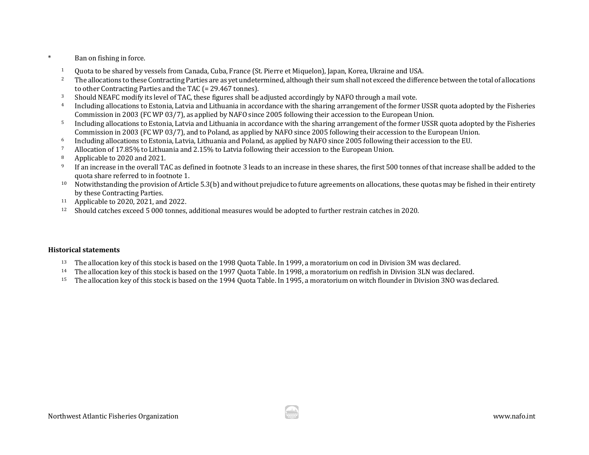- \* Ban on fishing in force.
	- 1 Quota to be shared by vessels from Canada, Cuba, France (St. Pierre et Miquelon), Japan, Korea, Ukraine and USA.<br><sup>2</sup> The allocations to these Contracting Parties are as vet undetermined, although their sum shall not exce
	- <sup>2</sup> The allocations to these Contracting Parties are as yet undetermined, although their sum shall not exceed the difference between the total of allocations to other Contracting Parties and the TAC (= 29.467 tonnes).<br>Should NEAFC modify its level of TAC, these figures shall be adjusted accordingly by NAFO through a mail vote.
	-
	- <sup>3</sup> Should NEAFC modify its level of TAC, these figures shall be adjusted accordingly by NAFO through a mail vote.<br><sup>4</sup> Including allocations to Estonia, Latvia and Lithuania in accordance with the sharing arrangement of th Commission in 2003 (FC WP 03/7), as applied by NAFO since 2005 following their accession to the European Union.
	- <sup>5</sup> Including allocations to Estonia, Latvia and Lithuania in accordance with the sharing arrangement of the former USSR quota adopted by the Fisheries Commission in 2003 (FC WP 03/7), and to Poland, as applied by NAFO since 2005 following their accession to the European Union.<br>Including allocations to Estonia, Latvia, Lithuania and Poland, as applied by NAFO since 2005 f
	- <sup>6</sup><br>Including allocations to Estonia, Latvia, Lithuania and Poland, as applied by NAFO since 2005 following the allocation of 17.85% to Lithuania and 2.15% to Latvia following their accession to the European Union.<br><sup>8</sup> Ap
	-
	- <sup>8</sup> Applicable to 2020 and 2021.<br><sup>9</sup> If an increase in the overall TA
	- <sup>9</sup> If an increase in the overall TAC as defined in footnote 3 leads to an increase in these shares, the first 500 tonnes of that increase shall be added to the quota share referred to in footnote 1.
	- $10$  Notwithstanding the provision of Article 5.3(b) and without prejudice to future agreements on allocations, these quotas may be fished in their entirety by these Contracting Parties.
	- <sup>11</sup> Applicable to 2020, 2021, and 2022.<br><sup>12</sup> Should catches exceed 5,000 tonnes
	- <sup>12</sup> Should catches exceed 5 000 tonnes, additional measures would be adopted to further restrain catches in 2020.

#### **Historical statements**

- <sup>13</sup> The allocation key of this stock is based on the 1998 Quota Table. In 1999, a moratorium on cod in Division 3M was declared.
- <sup>14</sup> The allocation key of this stock is based on the 1997 Quota Table. In 1998, a moratorium on redfish in Division 3LN was declared.<br><sup>15</sup> The allocation key of this stock is based on the 1994 Quota Table. In 1995, a mora
- <sup>15</sup> The allocation key of this stock is based on the 1994 Quota Table. In 1995, a moratorium on witch flounder in Division 3NO was declared.